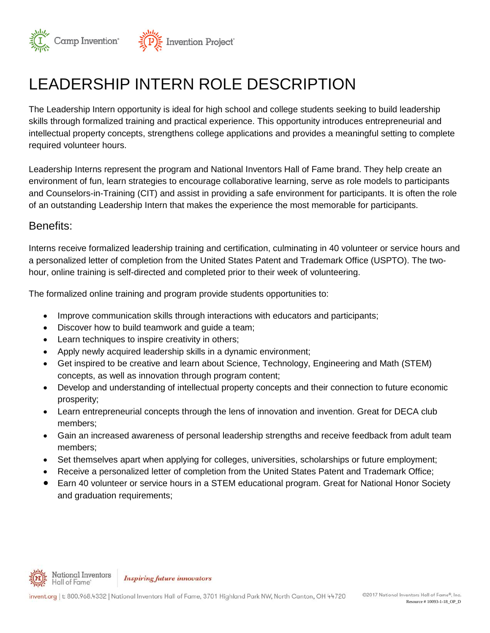

# LEADERSHIP INTERN ROLE DESCRIPTION

The Leadership Intern opportunity is ideal for high school and college students seeking to build leadership skills through formalized training and practical experience. This opportunity introduces entrepreneurial and intellectual property concepts, strengthens college applications and provides a meaningful setting to complete required volunteer hours.

Leadership Interns represent the program and National Inventors Hall of Fame brand. They help create an environment of fun, learn strategies to encourage collaborative learning, serve as role models to participants and Counselors-in-Training (CIT) and assist in providing a safe environment for participants. It is often the role of an outstanding Leadership Intern that makes the experience the most memorable for participants.

#### Benefits:

Interns receive formalized leadership training and certification, culminating in 40 volunteer or service hours and a personalized letter of completion from the United States Patent and Trademark Office (USPTO). The twohour, online training is self-directed and completed prior to their week of volunteering.

The formalized online training and program provide students opportunities to:

- Improve communication skills through interactions with educators and participants;
- Discover how to build teamwork and guide a team;
- Learn techniques to inspire creativity in others;
- Apply newly acquired leadership skills in a dynamic environment;
- Get inspired to be creative and learn about Science, Technology, Engineering and Math (STEM) concepts, as well as innovation through program content;
- Develop and understanding of intellectual property concepts and their connection to future economic prosperity;
- Learn entrepreneurial concepts through the lens of innovation and invention. Great for DECA club members;
- Gain an increased awareness of personal leadership strengths and receive feedback from adult team members;
- Set themselves apart when applying for colleges, universities, scholarships or future employment;
- Receive a personalized letter of completion from the United States Patent and Trademark Office;
- Earn 40 volunteer or service hours in a STEM educational program. Great for National Honor Society and graduation requirements;